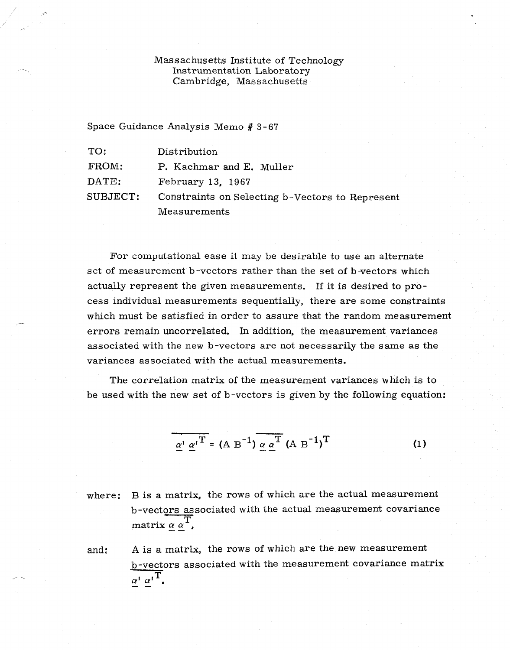## Massachusetts Institute of Technology Instrumentation Laboratory Cambridge, Massachusetts

Space Guidance Analysis Memo # 3-67

| TO:      | Distribution                                    |
|----------|-------------------------------------------------|
| FROM:    | P. Kachmar and E. Muller                        |
| DATE:    | February 13, 1967                               |
| SUBJECT: | Constraints on Selecting b-Vectors to Represent |
|          | Measurements                                    |

For computational ease it may be desirable to use an alternate set of measurement b-vectors rather than the set of b-vectors which actually represent the given measurements. If it is desired to process individual measurements sequentially, there are some constraints which must be satisfied in order to assure that the random measurement errors remain uncorrelated. In addition, the measurement variances associated with the new b-vectors are not necessarily the same as the variances associated with the actual measurements.

The correlation matrix of the measurement variances which is to be used with the new set of b-vectors is given by the following equation:

$$
\alpha' \alpha'^T = (A B^{-1}) \alpha \alpha^T (A B^{-1})^T
$$
 (1)

where: B is a matrix, the rows of which are the actual measurement b-vectors associated with the actual measurement covariance  $_{\rm matrix}$   $_{\alpha}$   $_{\alpha}^{\alpha}^{\rm T}$ ,

and: A is a matrix, the rows of which are the new measurement b-vectors associated with the measurement covariance matrix  $\alpha^{\dagger} \alpha^{\dagger}^{\text{T}}$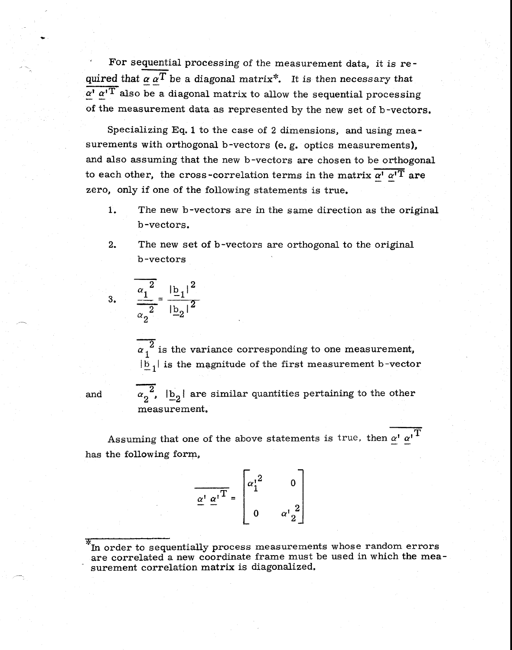For sequential processing of the measurement data, it is re quentiana. quired that  $\alpha \, \alpha^T$  be a diagonal matrix<sup>\*</sup>. It is then necessary that  $\alpha'$   $\alpha'$ <sup>T</sup> also be a diagonal matrix to allow the sequential processing of the measurement data as represented by the new set of b -vectors.

Specializing Eq. 1 to the case of 2 dimensions, and using measurements with orthogonal b-vectors (e.g. optics measurements), and also assuming that the new b-vectors are chosen to be orthogonal to each other, the cross-correlation terms in the matrix  $\alpha^{\dagger} \alpha^{\dagger} \overline{T}$  are zero, only if one of the following statements is true.

- 1. The new b-vectors are in the same direction as the original b -vectors.
- 2. The new set of b-vectors are orthogonal to the original b-vectors

3. 
$$
\frac{\alpha_1^2}{\alpha_2^2} = \frac{|b_1|^2}{|b_2|^2}
$$

 $\alpha_1^2$  is the variance corresponding to one measurement,  $|\bar{b}_1|$  is the magnitude of the first measurement b-vector

 $\alpha_2^{\;\;\;\;\lambda}\,$  ,  $|\textbf{b}_2^{\;\;\;\;\lambda}|$  are similar quantities pertaining to the other measurement.

Assuming that one of the above statements is true, then  $\alpha^i$   $\alpha^i$ <sup>T</sup> has the following form,

$$
\overline{\underline{\alpha}^1 \underline{\alpha}^1}^T = \begin{bmatrix} {\alpha_1^1}^2 & 0 \\ 0 & {\alpha_1^1}^2 \\ 0 & {\alpha_2^1}^2 \end{bmatrix}
$$

\* In order to sequentially process measurements whose random errors are correlated a new coordinate frame must be used in which the measurement correlation matrix is diagonalized.

and